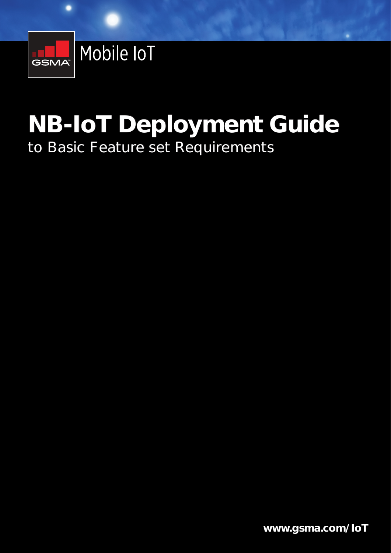

# **NB-IoT Deployment Guide NB-IoT Deployment Guide**  to Basic Feature set Requirements to Basic Feature set Requirements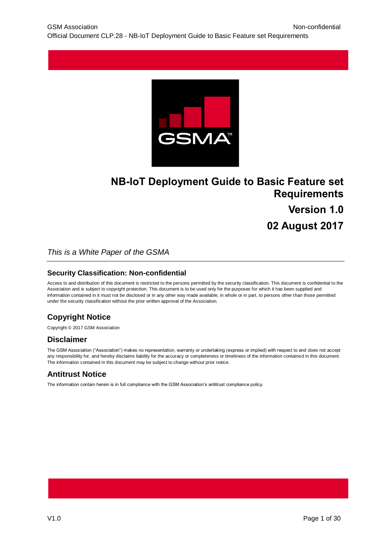

# **NB-IoT Deployment Guide to Basic Feature set Requirements Version 1.0 02 August 2017**

*This is a White Paper of the GSMA*

#### **Security Classification: Non-confidential**

Access to and distribution of this document is restricted to the persons permitted by the security classification. This document is confidential to the Association and is subject to copyright protection. This document is to be used only for the purposes for which it has been supplied and information contained in it must not be disclosed or in any other way made available, in whole or in part, to persons other than those permitted under the security classification without the prior written approval of the Association.

# **Copyright Notice**

Copyright © 2017 GSM Association

# **Disclaimer**

The GSM Association ("Association") makes no representation, warranty or undertaking (express or implied) with respect to and does not accept any responsibility for, and hereby disclaims liability for the accuracy or completeness or timeliness of the information contained in this document. The information contained in this document may be subject to change without prior notice.

# **Antitrust Notice**

The information contain herein is in full compliance with the GSM Association's antitrust compliance policy.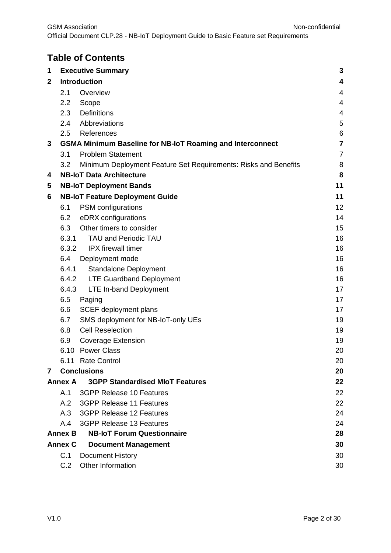# **Table of Contents**

| 1            |                     | <b>Executive Summary</b>                                         | 3              |  |
|--------------|---------------------|------------------------------------------------------------------|----------------|--|
| $\mathbf{2}$ | <b>Introduction</b> |                                                                  |                |  |
|              | 2.1                 | Overview                                                         | 4              |  |
|              | 2.2                 | Scope                                                            | 4              |  |
|              | 2.3                 | Definitions                                                      | $\overline{4}$ |  |
|              | $2.4^{\circ}$       | Abbreviations                                                    | 5              |  |
|              | 2.5                 | References                                                       | 6              |  |
| 3            |                     | <b>GSMA Minimum Baseline for NB-IoT Roaming and Interconnect</b> | $\overline{7}$ |  |
|              | 3.1                 | <b>Problem Statement</b>                                         | $\overline{7}$ |  |
|              | 3.2                 | Minimum Deployment Feature Set Requirements: Risks and Benefits  | 8              |  |
| 4            |                     | <b>NB-IoT Data Architecture</b>                                  | 8              |  |
| 5            |                     | <b>NB-IoT Deployment Bands</b>                                   | 11             |  |
| 6            |                     | <b>NB-IoT Feature Deployment Guide</b>                           | 11             |  |
|              | 6.1                 | PSM configurations                                               | 12             |  |
|              | 6.2                 | eDRX configurations                                              | 14             |  |
|              | 6.3                 | Other timers to consider                                         | 15             |  |
|              | 6.3.1               | <b>TAU and Periodic TAU</b>                                      | 16             |  |
|              |                     | 6.3.2 IPX firewall timer                                         | 16             |  |
|              | 6.4                 | Deployment mode                                                  | 16             |  |
|              | 6.4.1               | <b>Standalone Deployment</b>                                     | 16             |  |
|              |                     | 6.4.2 LTE Guardband Deployment                                   | 16             |  |
|              | 6.4.3               | <b>LTE In-band Deployment</b>                                    | 17             |  |
|              | 6.5                 | Paging                                                           | 17             |  |
|              | 6.6                 | <b>SCEF</b> deployment plans                                     | 17             |  |
|              | 6.7                 | SMS deployment for NB-IoT-only UEs                               | 19             |  |
|              | 6.8                 | <b>Cell Reselection</b>                                          | 19             |  |
|              | 6.9                 | <b>Coverage Extension</b>                                        | 19             |  |
|              |                     | 6.10 Power Class                                                 | 20             |  |
|              |                     | 6.11 Rate Control                                                | 20             |  |
| 7            |                     | <b>Conclusions</b>                                               | 20             |  |
|              | <b>Annex A</b>      | <b>3GPP Standardised MIoT Features</b>                           | 22             |  |
|              | A.1                 | <b>3GPP Release 10 Features</b>                                  | 22             |  |
|              | A.2                 | <b>3GPP Release 11 Features</b>                                  | 22             |  |
|              | A.3                 | 3GPP Release 12 Features                                         | 24             |  |
|              | A.4                 | <b>3GPP Release 13 Features</b>                                  | 24             |  |
|              | <b>Annex B</b>      | <b>NB-IoT Forum Questionnaire</b>                                | 28             |  |
|              | <b>Annex C</b>      | <b>Document Management</b>                                       | 30             |  |
|              | C.1                 | Document History                                                 | 30             |  |
|              | C.2                 | Other Information                                                | 30             |  |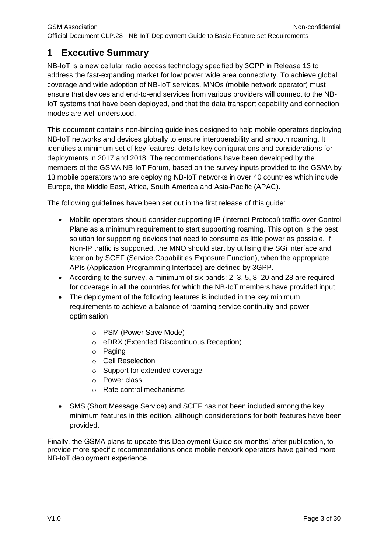# <span id="page-3-0"></span>**1 Executive Summary**

NB-IoT is a new cellular radio access technology specified by 3GPP in Release 13 to address the fast-expanding market for low power wide area connectivity. To achieve global coverage and wide adoption of NB-IoT services, MNOs (mobile network operator) must ensure that devices and end-to-end services from various providers will connect to the NB-IoT systems that have been deployed, and that the data transport capability and connection modes are well understood.

This document contains non-binding guidelines designed to help mobile operators deploying NB-IoT networks and devices globally to ensure interoperability and smooth roaming. It identifies a minimum set of key features, details key configurations and considerations for deployments in 2017 and 2018. The recommendations have been developed by the members of the GSMA NB-IoT Forum, based on the survey inputs provided to the GSMA by 13 mobile operators who are deploying NB-IoT networks in over 40 countries which include Europe, the Middle East, Africa, South America and Asia-Pacific (APAC).

The following guidelines have been set out in the first release of this guide:

- Mobile operators should consider supporting IP (Internet Protocol) traffic over Control Plane as a minimum requirement to start supporting roaming. This option is the best solution for supporting devices that need to consume as little power as possible. If Non-IP traffic is supported, the MNO should start by utilising the SGi interface and later on by SCEF (Service Capabilities Exposure Function), when the appropriate APIs (Application Programming Interface) are defined by 3GPP.
- According to the survey, a minimum of six bands: 2, 3, 5, 8, 20 and 28 are required for coverage in all the countries for which the NB-IoT members have provided input
- The deployment of the following features is included in the key minimum requirements to achieve a balance of roaming service continuity and power optimisation:
	- o PSM (Power Save Mode)
	- o eDRX (Extended Discontinuous Reception)
	- o Paging
	- o Cell Reselection
	- o Support for extended coverage
	- o Power class
	- o Rate control mechanisms
- SMS (Short Message Service) and SCEF has not been included among the key minimum features in this edition, although considerations for both features have been provided.

Finally, the GSMA plans to update this Deployment Guide six months' after publication, to provide more specific recommendations once mobile network operators have gained more NB-IoT deployment experience.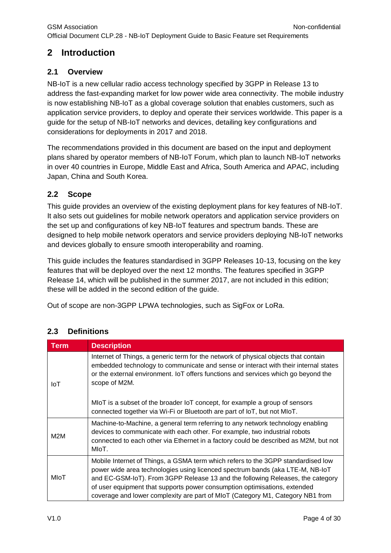# <span id="page-4-0"></span>**2 Introduction**

# <span id="page-4-1"></span>**2.1 Overview**

NB-IoT is a new cellular radio access technology specified by 3GPP in Release 13 to address the fast-expanding market for low power wide area connectivity. The mobile industry is now establishing NB-IoT as a global coverage solution that enables customers, such as application service providers, to deploy and operate their services worldwide. This paper is a guide for the setup of NB-IoT networks and devices, detailing key configurations and considerations for deployments in 2017 and 2018.

The recommendations provided in this document are based on the input and deployment plans shared by operator members of NB-IoT Forum, which plan to launch NB-IoT networks in over 40 countries in Europe, Middle East and Africa, South America and APAC, including Japan, China and South Korea.

# <span id="page-4-2"></span>**2.2 Scope**

This guide provides an overview of the existing deployment plans for key features of NB-IoT. It also sets out guidelines for mobile network operators and application service providers on the set up and configurations of key NB-IoT features and spectrum bands. These are designed to help mobile network operators and service providers deploying NB-IoT networks and devices globally to ensure smooth interoperability and roaming.

This guide includes the features standardised in 3GPP Releases 10-13, focusing on the key features that will be deployed over the next 12 months. The features specified in 3GPP Release 14, which will be published in the summer 2017, are not included in this edition; these will be added in the second edition of the guide.

Out of scope are non-3GPP LPWA technologies, such as SigFox or LoRa.

| <b>Term</b> | <b>Description</b>                                                                                                                                                                                                                                                                                                                                                                                                 |
|-------------|--------------------------------------------------------------------------------------------------------------------------------------------------------------------------------------------------------------------------------------------------------------------------------------------------------------------------------------------------------------------------------------------------------------------|
| IoT         | Internet of Things, a generic term for the network of physical objects that contain<br>embedded technology to communicate and sense or interact with their internal states<br>or the external environment. IoT offers functions and services which go beyond the<br>scope of M2M.                                                                                                                                  |
|             | MIOT is a subset of the broader IoT concept, for example a group of sensors<br>connected together via Wi-Fi or Bluetooth are part of loT, but not MIoT.                                                                                                                                                                                                                                                            |
| M2M         | Machine-to-Machine, a general term referring to any network technology enabling<br>devices to communicate with each other. For example, two industrial robots<br>connected to each other via Ethernet in a factory could be described as M2M, but not<br>MIoT.                                                                                                                                                     |
| MIoT        | Mobile Internet of Things, a GSMA term which refers to the 3GPP standardised low<br>power wide area technologies using licenced spectrum bands (aka LTE-M, NB-IoT<br>and EC-GSM-IoT). From 3GPP Release 13 and the following Releases, the category<br>of user equipment that supports power consumption optimisations, extended<br>coverage and lower complexity are part of MIoT (Category M1, Category NB1 from |

# <span id="page-4-3"></span>**2.3 Definitions**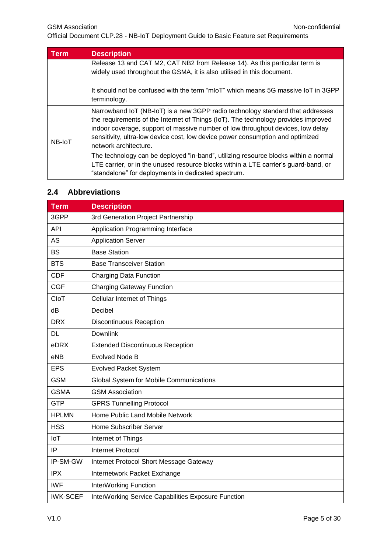GSM Association **Non-confidential** 

Official Document CLP.28 - NB-IoT Deployment Guide to Basic Feature set Requirements

| Term   | <b>Description</b>                                                                                                                                                                                                                                                                                                                                                 |
|--------|--------------------------------------------------------------------------------------------------------------------------------------------------------------------------------------------------------------------------------------------------------------------------------------------------------------------------------------------------------------------|
|        | Release 13 and CAT M2, CAT NB2 from Release 14). As this particular term is<br>widely used throughout the GSMA, it is also utilised in this document.                                                                                                                                                                                                              |
|        | It should not be confused with the term "mloT" which means 5G massive IoT in 3GPP<br>terminology.                                                                                                                                                                                                                                                                  |
| NB-IoT | Narrowband IoT (NB-IoT) is a new 3GPP radio technology standard that addresses<br>the requirements of the Internet of Things (IoT). The technology provides improved<br>indoor coverage, support of massive number of low throughput devices, low delay<br>sensitivity, ultra-low device cost, low device power consumption and optimized<br>network architecture. |
|        | The technology can be deployed "in-band", utilizing resource blocks within a normal<br>LTE carrier, or in the unused resource blocks within a LTE carrier's guard-band, or<br>"standalone" for deployments in dedicated spectrum.                                                                                                                                  |

# <span id="page-5-0"></span>**2.4 Abbreviations**

| <b>Term</b>     | <b>Description</b>                                  |  |  |
|-----------------|-----------------------------------------------------|--|--|
| 3GPP            | 3rd Generation Project Partnership                  |  |  |
| <b>API</b>      | Application Programming Interface                   |  |  |
| <b>AS</b>       | <b>Application Server</b>                           |  |  |
| <b>BS</b>       | <b>Base Station</b>                                 |  |  |
| <b>BTS</b>      | <b>Base Transceiver Station</b>                     |  |  |
| <b>CDF</b>      | Charging Data Function                              |  |  |
| <b>CGF</b>      | <b>Charging Gateway Function</b>                    |  |  |
| CloT            | <b>Cellular Internet of Things</b>                  |  |  |
| dB              | Decibel                                             |  |  |
| <b>DRX</b>      | <b>Discontinuous Reception</b>                      |  |  |
| <b>DL</b>       | Downlink                                            |  |  |
| eDRX            | <b>Extended Discontinuous Reception</b>             |  |  |
| eNB             | Evolved Node B                                      |  |  |
| <b>EPS</b>      | <b>Evolved Packet System</b>                        |  |  |
| <b>GSM</b>      | Global System for Mobile Communications             |  |  |
| <b>GSMA</b>     | <b>GSM Association</b>                              |  |  |
| <b>GTP</b>      | <b>GPRS Tunnelling Protocol</b>                     |  |  |
| <b>HPLMN</b>    | Home Public Land Mobile Network                     |  |  |
| <b>HSS</b>      | Home Subscriber Server                              |  |  |
| <b>IoT</b>      | Internet of Things                                  |  |  |
| IP              | <b>Internet Protocol</b>                            |  |  |
| IP-SM-GW        | Internet Protocol Short Message Gateway             |  |  |
| <b>IPX</b>      | Internetwork Packet Exchange                        |  |  |
| <b>IWF</b>      | InterWorking Function                               |  |  |
| <b>IWK-SCEF</b> | InterWorking Service Capabilities Exposure Function |  |  |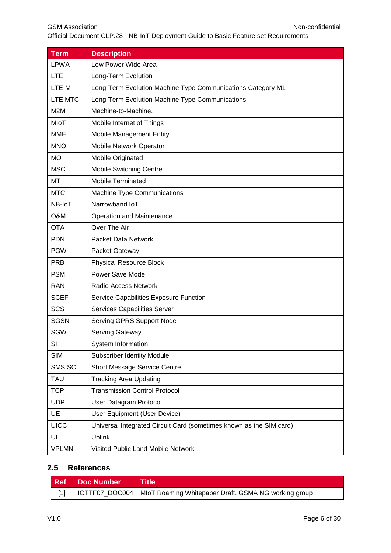| <b>Term</b>  | <b>Description</b>                                                  |  |  |
|--------------|---------------------------------------------------------------------|--|--|
| <b>LPWA</b>  | Low Power Wide Area                                                 |  |  |
| <b>LTE</b>   | Long-Term Evolution                                                 |  |  |
| LTE-M        | Long-Term Evolution Machine Type Communications Category M1         |  |  |
| LTE MTC      | Long-Term Evolution Machine Type Communications                     |  |  |
| M2M          | Machine-to-Machine.                                                 |  |  |
| MIoT         | Mobile Internet of Things                                           |  |  |
| <b>MME</b>   | Mobile Management Entity                                            |  |  |
| <b>MNO</b>   | Mobile Network Operator                                             |  |  |
| <b>MO</b>    | Mobile Originated                                                   |  |  |
| <b>MSC</b>   | Mobile Switching Centre                                             |  |  |
| MT           | <b>Mobile Terminated</b>                                            |  |  |
| <b>MTC</b>   | Machine Type Communications                                         |  |  |
| NB-IoT       | Narrowband IoT                                                      |  |  |
| O&M          | <b>Operation and Maintenance</b>                                    |  |  |
| <b>OTA</b>   | Over The Air                                                        |  |  |
| <b>PDN</b>   | <b>Packet Data Network</b>                                          |  |  |
| <b>PGW</b>   | Packet Gateway                                                      |  |  |
| <b>PRB</b>   | <b>Physical Resource Block</b>                                      |  |  |
| <b>PSM</b>   | Power Save Mode                                                     |  |  |
| <b>RAN</b>   | <b>Radio Access Network</b>                                         |  |  |
| <b>SCEF</b>  | Service Capabilities Exposure Function                              |  |  |
| <b>SCS</b>   | Services Capabilities Server                                        |  |  |
| <b>SGSN</b>  | Serving GPRS Support Node                                           |  |  |
| <b>SGW</b>   | <b>Serving Gateway</b>                                              |  |  |
| SI           | System Information                                                  |  |  |
| <b>SIM</b>   | <b>Subscriber Identity Module</b>                                   |  |  |
| SMS SC       | <b>Short Message Service Centre</b>                                 |  |  |
| <b>TAU</b>   | <b>Tracking Area Updating</b>                                       |  |  |
| <b>TCP</b>   | <b>Transmission Control Protocol</b>                                |  |  |
| <b>UDP</b>   | User Datagram Protocol                                              |  |  |
| UE           | User Equipment (User Device)                                        |  |  |
| <b>UICC</b>  | Universal Integrated Circuit Card (sometimes known as the SIM card) |  |  |
| UL           | <b>Uplink</b>                                                       |  |  |
| <b>VPLMN</b> | Visited Public Land Mobile Network                                  |  |  |

# <span id="page-6-0"></span>**2.5 References**

<span id="page-6-1"></span>

| Ref Doc Number | <b>Title</b>                                                                |  |
|----------------|-----------------------------------------------------------------------------|--|
|                | [1]   IOTTF07_DOC004   MIoT Roaming Whitepaper Draft. GSMA NG working group |  |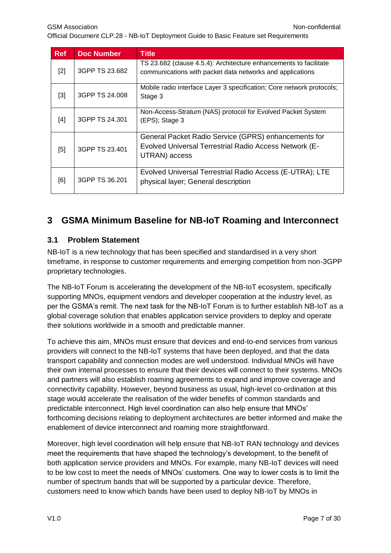Official Document CLP.28 - NB-IoT Deployment Guide to Basic Feature set Requirements

<span id="page-7-4"></span><span id="page-7-3"></span><span id="page-7-2"></span>

| <b>Ref</b> | <b>Doc Number</b> | <b>Title</b>                                                                                                                    |
|------------|-------------------|---------------------------------------------------------------------------------------------------------------------------------|
| $[2]$      | 3GPP TS 23.682    | TS 23.682 (clause 4.5.4): Architecture enhancements to facilitate<br>communications with packet data networks and applications  |
| $[3]$      | 3GPP TS 24,008    | Mobile radio interface Layer 3 specification; Core network protocols;<br>Stage 3                                                |
| [4]        | 3GPP TS 24.301    | Non-Access-Stratum (NAS) protocol for Evolved Packet System<br>(EPS); Stage 3                                                   |
| [5]        | 3GPP TS 23.401    | General Packet Radio Service (GPRS) enhancements for<br>Evolved Universal Terrestrial Radio Access Network (E-<br>UTRAN) access |
| [6]        | 3GPP TS 36.201    | Evolved Universal Terrestrial Radio Access (E-UTRA); LTE<br>physical layer; General description                                 |

# <span id="page-7-6"></span><span id="page-7-5"></span><span id="page-7-0"></span>**3 GSMA Minimum Baseline for NB-IoT Roaming and Interconnect**

#### <span id="page-7-1"></span>**3.1 Problem Statement**

NB-IoT is a new technology that has been specified and standardised in a very short timeframe, in response to customer requirements and emerging competition from non-3GPP proprietary technologies.

The NB-IoT Forum is accelerating the development of the NB-IoT ecosystem, specifically supporting MNOs, equipment vendors and developer cooperation at the industry level, as per the GSMA's remit. The next task for the NB-IoT Forum is to further establish NB-IoT as a global coverage solution that enables application service providers to deploy and operate their solutions worldwide in a smooth and predictable manner.

To achieve this aim, MNOs must ensure that devices and end-to-end services from various providers will connect to the NB-IoT systems that have been deployed, and that the data transport capability and connection modes are well understood. Individual MNOs will have their own internal processes to ensure that their devices will connect to their systems. MNOs and partners will also establish roaming agreements to expand and improve coverage and connectivity capability. However, beyond business as usual, high-level co-ordination at this stage would accelerate the realisation of the wider benefits of common standards and predictable interconnect. High level coordination can also help ensure that MNOs' forthcoming decisions relating to deployment architectures are better informed and make the enablement of device interconnect and roaming more straightforward.

Moreover, high level coordination will help ensure that NB-IoT RAN technology and devices meet the requirements that have shaped the technology's development, to the benefit of both application service providers and MNOs. For example, many NB-IoT devices will need to be low cost to meet the needs of MNOs' customers. One way to lower costs is to limit the number of spectrum bands that will be supported by a particular device. Therefore, customers need to know which bands have been used to deploy NB-IoT by MNOs in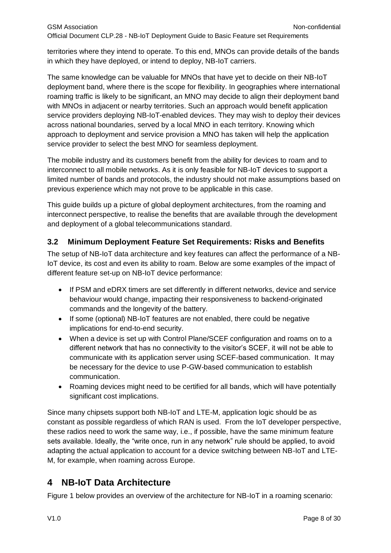territories where they intend to operate. To this end, MNOs can provide details of the bands in which they have deployed, or intend to deploy, NB-IoT carriers.

The same knowledge can be valuable for MNOs that have yet to decide on their NB-IoT deployment band, where there is the scope for flexibility. In geographies where international roaming traffic is likely to be significant, an MNO may decide to align their deployment band with MNOs in adjacent or nearby territories. Such an approach would benefit application service providers deploying NB-IoT-enabled devices. They may wish to deploy their devices across national boundaries, served by a local MNO in each territory. Knowing which approach to deployment and service provision a MNO has taken will help the application service provider to select the best MNO for seamless deployment.

The mobile industry and its customers benefit from the ability for devices to roam and to interconnect to all mobile networks. As it is only feasible for NB-IoT devices to support a limited number of bands and protocols, the industry should not make assumptions based on previous experience which may not prove to be applicable in this case.

This guide builds up a picture of global deployment architectures, from the roaming and interconnect perspective, to realise the benefits that are available through the development and deployment of a global telecommunications standard.

# <span id="page-8-0"></span>**3.2 Minimum Deployment Feature Set Requirements: Risks and Benefits**

The setup of NB-IoT data architecture and key features can affect the performance of a NB-IoT device, its cost and even its ability to roam. Below are some examples of the impact of different feature set-up on NB-IoT device performance:

- If PSM and eDRX timers are set differently in different networks, device and service behaviour would change, impacting their responsiveness to backend-originated commands and the longevity of the battery.
- If some (optional) NB-IoT features are not enabled, there could be negative implications for end-to-end security.
- When a device is set up with Control Plane/SCEF configuration and roams on to a different network that has no connectivity to the visitor's SCEF, it will not be able to communicate with its application server using SCEF-based communication. It may be necessary for the device to use P-GW-based communication to establish communication.
- Roaming devices might need to be certified for all bands, which will have potentially significant cost implications.

Since many chipsets support both NB-IoT and LTE-M, application logic should be as constant as possible regardless of which RAN is used. From the IoT developer perspective, these radios need to work the same way, i.e., if possible, have the same minimum feature sets available. Ideally, the "write once, run in any network" rule should be applied, to avoid adapting the actual application to account for a device switching between NB-IoT and LTE-M, for example, when roaming across Europe.

# <span id="page-8-1"></span>**4 NB-IoT Data Architecture**

[Figure 1](#page-9-0) below provides an overview of the architecture for NB-IoT in a roaming scenario: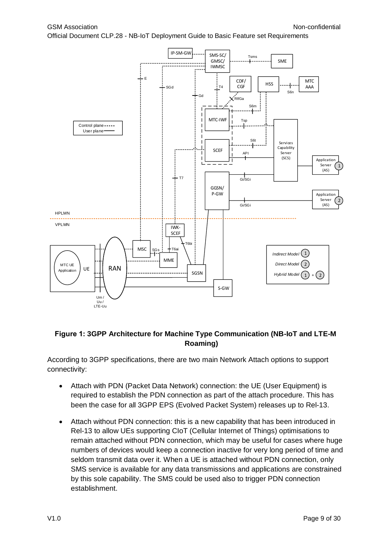

#### <span id="page-9-0"></span>**Figure 1: 3GPP Architecture for Machine Type Communication (NB-IoT and LTE-M Roaming)**

According to 3GPP specifications, there are two main Network Attach options to support connectivity:

- Attach with PDN (Packet Data Network) connection: the UE (User Equipment) is required to establish the PDN connection as part of the attach procedure. This has been the case for all 3GPP EPS (Evolved Packet System) releases up to Rel-13.
- Attach without PDN connection: this is a new capability that has been introduced in Rel-13 to allow UEs supporting CIoT (Cellular Internet of Things) optimisations to remain attached without PDN connection, which may be useful for cases where huge numbers of devices would keep a connection inactive for very long period of time and seldom transmit data over it. When a UE is attached without PDN connection, only SMS service is available for any data transmissions and applications are constrained by this sole capability. The SMS could be used also to trigger PDN connection establishment.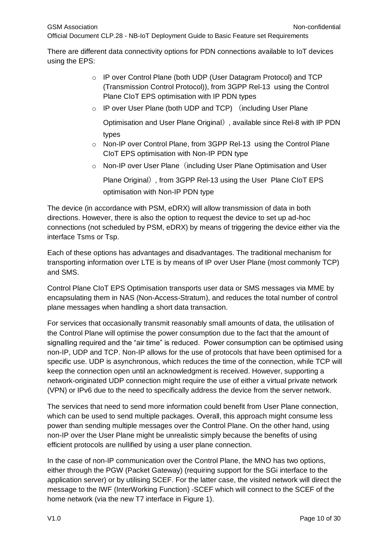There are different data connectivity options for PDN connections available to IoT devices using the EPS:

- o IP over Control Plane (both UDP (User Datagram Protocol) and TCP (Transmission Control Protocol)), from 3GPP Rel-13 using the Control Plane CIoT EPS optimisation with IP PDN types
- o IP over User Plane (both UDP and TCP) (including User Plane

Optimisation and User Plane Original), available since Rel-8 with IP PDN types

- o Non-IP over Control Plane, from 3GPP Rel-13 using the Control Plane CIoT EPS optimisation with Non-IP PDN type
- o Non-IP over User Plane (including User Plane Optimisation and User

Plane Original), from 3GPP Rel-13 using the User Plane CIoT EPS optimisation with Non-IP PDN type

The device (in accordance with PSM, eDRX) will allow transmission of data in both directions. However, there is also the option to request the device to set up ad-hoc connections (not scheduled by PSM, eDRX) by means of triggering the device either via the interface Tsms or Tsp.

Each of these options has advantages and disadvantages. The traditional mechanism for transporting information over LTE is by means of IP over User Plane (most commonly TCP) and SMS.

Control Plane CIoT EPS Optimisation transports user data or SMS messages via MME by encapsulating them in NAS (Non-Access-Stratum), and reduces the total number of control plane messages when handling a short data transaction.

For services that occasionally transmit reasonably small amounts of data, the utilisation of the Control Plane will optimise the power consumption due to the fact that the amount of signalling required and the "air time" is reduced. Power consumption can be optimised using non-IP, UDP and TCP. Non-IP allows for the use of protocols that have been optimised for a specific use. UDP is asynchronous, which reduces the time of the connection, while TCP will keep the connection open until an acknowledgment is received. However, supporting a network-originated UDP connection might require the use of either a virtual private network (VPN) or IPv6 due to the need to specifically address the device from the server network.

The services that need to send more information could benefit from User Plane connection, which can be used to send multiple packages. Overall, this approach might consume less power than sending multiple messages over the Control Plane. On the other hand, using non-IP over the User Plane might be unrealistic simply because the benefits of using efficient protocols are nullified by using a user plane connection.

In the case of non-IP communication over the Control Plane, the MNO has two options, either through the PGW (Packet Gateway) (requiring support for the SGi interface to the application server) or by utilising SCEF. For the latter case, the visited network will direct the message to the IWF (InterWorking Function) -SCEF which will connect to the SCEF of the home network (via the new T7 interface in Figure 1).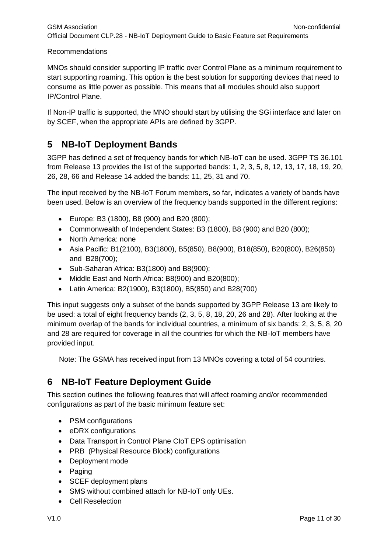#### **Recommendations**

MNOs should consider supporting IP traffic over Control Plane as a minimum requirement to start supporting roaming. This option is the best solution for supporting devices that need to consume as little power as possible. This means that all modules should also support IP/Control Plane.

If Non-IP traffic is supported, the MNO should start by utilising the SGi interface and later on by SCEF, when the appropriate APIs are defined by 3GPP.

# <span id="page-11-0"></span>**5 NB-IoT Deployment Bands**

3GPP has defined a set of frequency bands for which NB-IoT can be used. 3GPP TS 36.101 from Release 13 provides the list of the supported bands: 1, 2, 3, 5, 8, 12, 13, 17, 18, 19, 20, 26, 28, 66 and Release 14 added the bands: 11, 25, 31 and 70.

The input received by the NB-IoT Forum members, so far, indicates a variety of bands have been used. Below is an overview of the frequency bands supported in the different regions:

- Europe: B3 (1800), B8 (900) and B20 (800);
- Commonwealth of Independent States: B3 (1800), B8 (900) and B20 (800);
- North America: none
- Asia Pacific: B1(2100), B3(1800), B5(850), B8(900), B18(850), B20(800), B26(850) and B28(700);
- Sub-Saharan Africa: B3(1800) and B8(900);
- Middle East and North Africa: B8(900) and B20(800);
- Latin America: B2(1900), B3(1800), B5(850) and B28(700)

This input suggests only a subset of the bands supported by 3GPP Release 13 are likely to be used: a total of eight frequency bands (2, 3, 5, 8, 18, 20, 26 and 28). After looking at the minimum overlap of the bands for individual countries, a minimum of six bands: 2, 3, 5, 8, 20 and 28 are required for coverage in all the countries for which the NB-IoT members have provided input.

Note: The GSMA has received input from 13 MNOs covering a total of 54 countries.

# <span id="page-11-1"></span>**6 NB-IoT Feature Deployment Guide**

This section outlines the following features that will affect roaming and/or recommended configurations as part of the basic minimum feature set:

- PSM configurations
- eDRX configurations
- Data Transport in Control Plane CIoT EPS optimisation
- PRB (Physical Resource Block) configurations
- Deployment mode
- Paging
- SCEF deployment plans
- SMS without combined attach for NB-IoT only UEs.
- Cell Reselection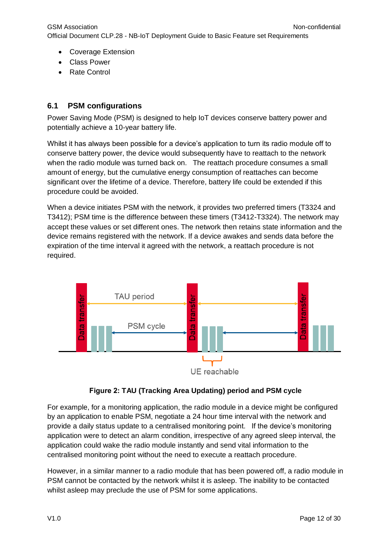- Coverage Extension
- Class Power
- Rate Control

#### <span id="page-12-0"></span>**6.1 PSM configurations**

Power Saving Mode (PSM) is designed to help IoT devices conserve battery power and potentially achieve a 10-year battery life.

Whilst it has always been possible for a device's application to turn its radio module off to conserve battery power, the device would subsequently have to reattach to the network when the radio module was turned back on. The reattach procedure consumes a small amount of energy, but the cumulative energy consumption of reattaches can become significant over the lifetime of a device. Therefore, battery life could be extended if this procedure could be avoided.

When a device initiates PSM with the network, it provides two preferred timers (T3324 and T3412); PSM time is the difference between these timers (T3412-T3324). The network may accept these values or set different ones. The network then retains state information and the device remains registered with the network. If a device awakes and sends data before the expiration of the time interval it agreed with the network, a reattach procedure is not required.





<span id="page-12-1"></span>For example, for a monitoring application, the radio module in a device might be configured by an application to enable PSM, negotiate a 24 hour time interval with the network and provide a daily status update to a centralised monitoring point. If the device's monitoring application were to detect an alarm condition, irrespective of any agreed sleep interval, the application could wake the radio module instantly and send vital information to the centralised monitoring point without the need to execute a reattach procedure.

However, in a similar manner to a radio module that has been powered off, a radio module in PSM cannot be contacted by the network whilst it is asleep. The inability to be contacted whilst asleep may preclude the use of PSM for some applications.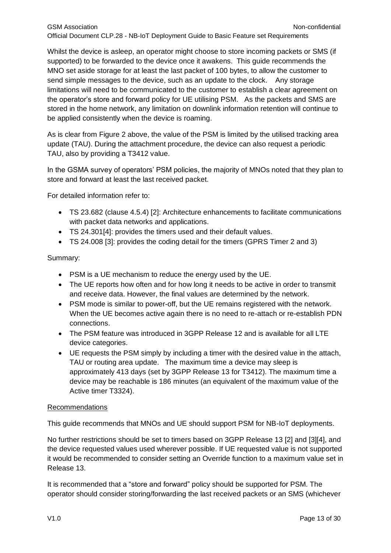Whilst the device is asleep, an operator might choose to store incoming packets or SMS (if supported) to be forwarded to the device once it awakens. This guide recommends the MNO set aside storage for at least the last packet of 100 bytes, to allow the customer to send simple messages to the device, such as an update to the clock. Any storage limitations will need to be communicated to the customer to establish a clear agreement on the operator's store and forward policy for UE utilising PSM. As the packets and SMS are stored in the home network, any limitation on downlink information retention will continue to be applied consistently when the device is roaming.

As is clear from [Figure 2](#page-12-1) above, the value of the PSM is limited by the utilised tracking area update (TAU). During the attachment procedure, the device can also request a periodic TAU, also by providing a T3412 value.

In the GSMA survey of operators' PSM policies, the majority of MNOs noted that they plan to store and forward at least the last received packet.

For detailed information refer to:

- TS 23.682 (clause 4.5.4) [\[2\]:](#page-7-2) Architecture enhancements to facilitate communications with packet data networks and applications.
- TS 24.30[1\[4\]:](#page-7-3) provides the timers used and their default values.
- TS 24.008 [\[3\]:](#page-7-4) provides the coding detail for the timers (GPRS Timer 2 and 3)

#### Summary:

- PSM is a UE mechanism to reduce the energy used by the UE.
- The UE reports how often and for how long it needs to be active in order to transmit and receive data. However, the final values are determined by the network.
- PSM mode is similar to power-off, but the UE remains registered with the network. When the UE becomes active again there is no need to re-attach or re-establish PDN connections.
- The PSM feature was introduced in 3GPP Release 12 and is available for all LTE device categories.
- UE requests the PSM simply by including a timer with the desired value in the attach, TAU or routing area update. The maximum time a device may sleep is approximately 413 days (set by 3GPP Release 13 for T3412). The maximum time a device may be reachable is 186 minutes (an equivalent of the maximum value of the Active timer T3324).

#### Recommendations

This guide recommends that MNOs and UE should support PSM for NB-IoT deployments.

No further restrictions should be set to timers based on 3GPP Release 13 [\[2\]](#page-7-2) and [\[3\]\[4\],](#page-7-4) and the device requested values used wherever possible. If UE requested value is not supported it would be recommended to consider setting an Override function to a maximum value set in Release 13.

It is recommended that a "store and forward" policy should be supported for PSM. The operator should consider storing/forwarding the last received packets or an SMS (whichever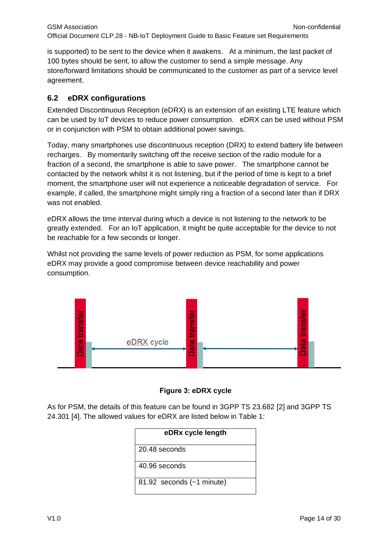is supported) to be sent to the device when it awakens. At a minimum, the last packet of 100 bytes should be sent, to allow the customer to send a simple message. Any store/forward limitations should be communicated to the customer as part of a service level agreement.

#### <span id="page-14-0"></span>**6.2 eDRX configurations**

Extended Discontinuous Reception (eDRX) is an extension of an existing LTE feature which can be used by IoT devices to reduce power consumption. eDRX can be used without PSM or in conjunction with PSM to obtain additional power savings.

Today, many smartphones use discontinuous reception (DRX) to extend battery life between recharges. By momentarily switching off the receive section of the radio module for a fraction of a second, the smartphone is able to save power. The smartphone cannot be contacted by the network whilst it is not listening, but if the period of time is kept to a brief moment, the smartphone user will not experience a noticeable degradation of service. For example, if called, the smartphone might simply ring a fraction of a second later than if DRX was not enabled.

eDRX allows the time interval during which a device is not listening to the network to be greatly extended. For an IoT application, it might be quite acceptable for the device to not be reachable for a few seconds or longer.

Whilst not providing the same levels of power reduction as PSM, for some applications eDRX may provide a good compromise between device reachability and power consumption.



**Figure 3: eDRX cycle**

As for PSM, the details of this feature can be found in 3GPP TS 23.682 [\[2\]](#page-7-2) and 3GPP TS 24.301 [\[4\].](#page-7-3) The allowed values for eDRX are listed below in Table 1:

| eDRx cycle length           |  |  |  |
|-----------------------------|--|--|--|
| 20.48 seconds               |  |  |  |
| 40.96 seconds               |  |  |  |
| 81.92 seconds $(-1$ minute) |  |  |  |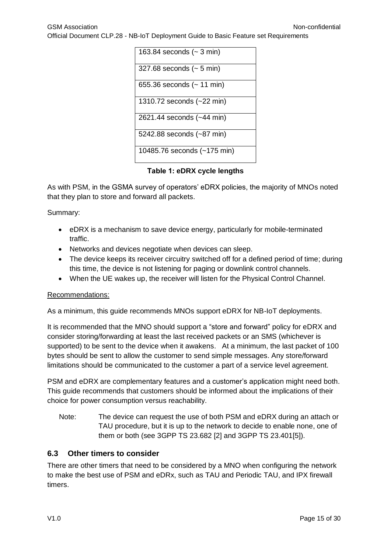GSM Association **Non-confidential** Official Document CLP.28 - NB-IoT Deployment Guide to Basic Feature set Requirements



**Table 1: eDRX cycle lengths**

As with PSM, in the GSMA survey of operators' eDRX policies, the majority of MNOs noted that they plan to store and forward all packets.

Summary:

- eDRX is a mechanism to save device energy, particularly for mobile-terminated traffic.
- Networks and devices negotiate when devices can sleep.
- The device keeps its receiver circuitry switched off for a defined period of time; during this time, the device is not listening for paging or downlink control channels.
- When the UE wakes up, the receiver will listen for the Physical Control Channel.

#### Recommendations:

As a minimum, this guide recommends MNOs support eDRX for NB-IoT deployments.

It is recommended that the MNO should support a "store and forward" policy for eDRX and consider storing/forwarding at least the last received packets or an SMS (whichever is supported) to be sent to the device when it awakens. At a minimum, the last packet of 100 bytes should be sent to allow the customer to send simple messages. Any store/forward limitations should be communicated to the customer a part of a service level agreement.

PSM and eDRX are complementary features and a customer's application might need both. This guide recommends that customers should be informed about the implications of their choice for power consumption versus reachability.

Note: The device can request the use of both PSM and eDRX during an attach or TAU procedure, but it is up to the network to decide to enable none, one of them or both (see 3GPP TS 23.682 [\[2\]](#page-7-2) and 3GPP TS 23.40[1\[5\]\)](#page-7-5).

#### <span id="page-15-0"></span>**6.3 Other timers to consider**

There are other timers that need to be considered by a MNO when configuring the network to make the best use of PSM and eDRx, such as TAU and Periodic TAU, and IPX firewall timers.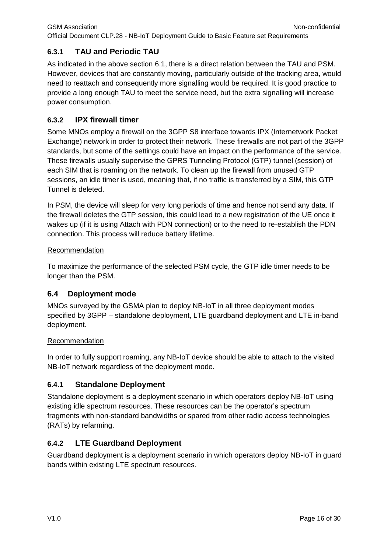# <span id="page-16-0"></span>**6.3.1 TAU and Periodic TAU**

As indicated in the above section [6.1,](#page-12-0) there is a direct relation between the TAU and PSM. However, devices that are constantly moving, particularly outside of the tracking area, would need to reattach and consequently more signalling would be required. It is good practice to provide a long enough TAU to meet the service need, but the extra signalling will increase power consumption.

# <span id="page-16-1"></span>**6.3.2 IPX firewall timer**

Some MNOs employ a firewall on the 3GPP S8 interface towards IPX (Internetwork Packet Exchange) network in order to protect their network. These firewalls are not part of the 3GPP standards, but some of the settings could have an impact on the performance of the service. These firewalls usually supervise the GPRS Tunneling Protocol (GTP) tunnel (session) of each SIM that is roaming on the network. To clean up the firewall from unused GTP sessions, an idle timer is used, meaning that, if no traffic is transferred by a SIM, this GTP Tunnel is deleted.

In PSM, the device will sleep for very long periods of time and hence not send any data. If the firewall deletes the GTP session, this could lead to a new registration of the UE once it wakes up (if it is using Attach with PDN connection) or to the need to re-establish the PDN connection. This process will reduce battery lifetime.

#### Recommendation

To maximize the performance of the selected PSM cycle, the GTP idle timer needs to be longer than the PSM.

# <span id="page-16-2"></span>**6.4 Deployment mode**

MNOs surveyed by the GSMA plan to deploy NB-IoT in all three deployment modes specified by 3GPP – standalone deployment, LTE guardband deployment and LTE in-band deployment.

#### **Recommendation**

In order to fully support roaming, any NB-IoT device should be able to attach to the visited NB-IoT network regardless of the deployment mode.

# <span id="page-16-3"></span>**6.4.1 Standalone Deployment**

Standalone deployment is a deployment scenario in which operators deploy NB-IoT using existing idle spectrum resources. These resources can be the operator's spectrum fragments with non-standard bandwidths or spared from other radio access technologies (RATs) by refarming.

# <span id="page-16-4"></span>**6.4.2 LTE Guardband Deployment**

Guardband deployment is a deployment scenario in which operators deploy NB-IoT in guard bands within existing LTE spectrum resources.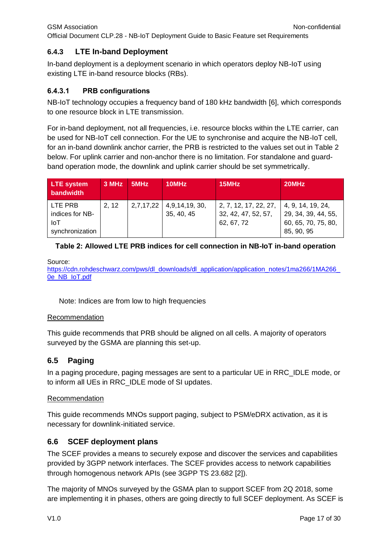# <span id="page-17-0"></span>**6.4.3 LTE In-band Deployment**

In-band deployment is a deployment scenario in which operators deploy NB-IoT using existing LTE in-band resource blocks (RBs).

# **6.4.3.1 PRB configurations**

NB-IoT technology occupies a frequency band of 180 kHz bandwidth [\[6\],](#page-7-6) which corresponds to one resource block in LTE transmission.

For in-band deployment, not all frequencies, i.e. resource blocks within the LTE carrier, can be used for NB-IoT cell connection. For the UE to synchronise and acquire the NB-IoT cell, for an in-band downlink anchor carrier, the PRB is restricted to the values set out in [Table 2](#page-17-3) below. For uplink carrier and non-anchor there is no limitation. For standalone and guardband operation mode, the downlink and uplink carrier should be set symmetrically.

| LTE system<br>bandwidth                                     | 3 MHz 5MHz | 10MHz                                      | 15MHz                                                      | 20MHz                                                                                 |
|-------------------------------------------------------------|------------|--------------------------------------------|------------------------------------------------------------|---------------------------------------------------------------------------------------|
| LTE PRB<br>indices for NB-<br><b>IoT</b><br>synchronization | 2.12       | $2,7,17,22$   4,9,14,19, 30,<br>35, 40, 45 | 2, 7, 12, 17, 22, 27,<br>32, 42, 47, 52, 57,<br>62, 67, 72 | $\vert$ 4, 9, 14, 19, 24,<br>29, 34, 39, 44, 55,<br>60, 65, 70, 75, 80,<br>85, 90, 95 |

# <span id="page-17-3"></span>**Table 2: Allowed LTE PRB indices for cell connection in NB-IoT in-band operation**

Source:

https://cdn.rohdeschwarz.com/pws/dl\_downloads/dl\_application/application\_notes/1ma266/1MA266 [0e\\_NB\\_IoT.pdf](https://cdn.rohdeschwarz.com/pws/dl_downloads/dl_application/application_notes/1ma266/1MA266_0e_NB_IoT.pdf)

Note: Indices are from low to high frequencies

#### Recommendation

This guide recommends that PRB should be aligned on all cells. A majority of operators surveyed by the GSMA are planning this set-up.

# <span id="page-17-1"></span>**6.5 Paging**

In a paging procedure, paging messages are sent to a particular UE in RRC\_IDLE mode, or to inform all UEs in RRC\_IDLE mode of SI updates.

#### **Recommendation**

This guide recommends MNOs support paging, subject to PSM/eDRX activation, as it is necessary for downlink-initiated service.

# <span id="page-17-2"></span>**6.6 SCEF deployment plans**

The SCEF provides a means to securely expose and discover the services and capabilities provided by 3GPP network interfaces. The SCEF provides access to network capabilities through homogenous network APIs (see 3GPP TS 23.682 [\[2\]\)](#page-7-2).

The majority of MNOs surveyed by the GSMA plan to support SCEF from 2Q 2018, some are implementing it in phases, others are going directly to full SCEF deployment. As SCEF is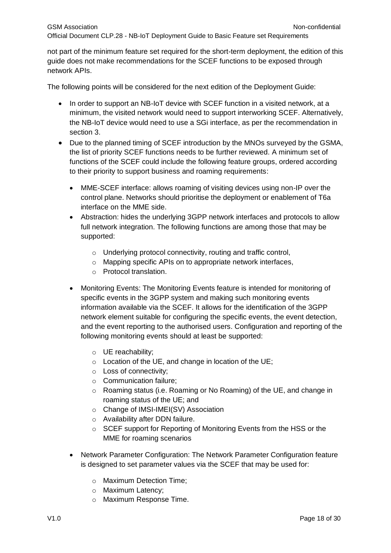not part of the minimum feature set required for the short-term deployment, the edition of this guide does not make recommendations for the SCEF functions to be exposed through network APIs.

The following points will be considered for the next edition of the Deployment Guide:

- In order to support an NB-IoT device with SCEF function in a visited network, at a minimum, the visited network would need to support interworking SCEF. Alternatively, the NB-IoT device would need to use a SGi interface, as per the recommendation in section [3.](#page-7-0)
- Due to the planned timing of SCEF introduction by the MNOs surveyed by the GSMA, the list of priority SCEF functions needs to be further reviewed. A minimum set of functions of the SCEF could include the following feature groups, ordered according to their priority to support business and roaming requirements:
	- MME-SCEF interface: allows roaming of visiting devices using non-IP over the control plane. Networks should prioritise the deployment or enablement of T6a interface on the MME side.
	- Abstraction: hides the underlying 3GPP network interfaces and protocols to allow full network integration. The following functions are among those that may be supported:
		- o Underlying protocol connectivity, routing and traffic control,
		- o Mapping specific APIs on to appropriate network interfaces,
		- o Protocol translation.
	- Monitoring Events: The Monitoring Events feature is intended for monitoring of specific events in the 3GPP system and making such monitoring events information available via the SCEF. It allows for the identification of the 3GPP network element suitable for configuring the specific events, the event detection, and the event reporting to the authorised users. Configuration and reporting of the following monitoring events should at least be supported:
		- o UE reachability;
		- o Location of the UE, and change in location of the UE;
		- o Loss of connectivity;
		- o Communication failure;
		- o Roaming status (i.e. Roaming or No Roaming) of the UE, and change in roaming status of the UE; and
		- o Change of IMSI-IMEI(SV) Association
		- o Availability after DDN failure.
		- o SCEF support for Reporting of Monitoring Events from the HSS or the MME for roaming scenarios
	- Network Parameter Configuration: The Network Parameter Configuration feature is designed to set parameter values via the SCEF that may be used for:
		- o Maximum Detection Time;
		- o Maximum Latency;
		- o Maximum Response Time.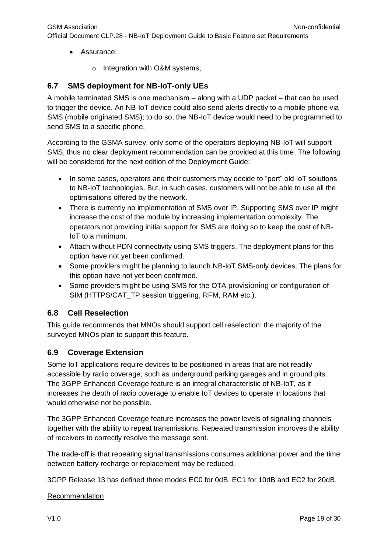- Assurance:
	- o Integration with O&M systems,

# <span id="page-19-0"></span>**6.7 SMS deployment for NB-IoT-only UEs**

A mobile terminated SMS is one mechanism – along with a UDP packet – that can be used to trigger the device. An NB-IoT device could also send alerts directly to a mobile phone via SMS (mobile originated SMS); to do so, the NB-IoT device would need to be programmed to send SMS to a specific phone.

According to the GSMA survey, only some of the operators deploying NB-IoT will support SMS, thus no clear deployment recommendation can be provided at this time. The following will be considered for the next edition of the Deployment Guide:

- In some cases, operators and their customers may decide to "port" old IoT solutions to NB-IoT technologies. But, in such cases, customers will not be able to use all the optimisations offered by the network.
- There is currently no implementation of SMS over IP. Supporting SMS over IP might increase the cost of the module by increasing implementation complexity. The operators not providing initial support for SMS are doing so to keep the cost of NB-IoT to a minimum.
- Attach without PDN connectivity using SMS triggers. The deployment plans for this option have not yet been confirmed.
- Some providers might be planning to launch NB-IoT SMS-only devices. The plans for this option have not yet been confirmed.
- Some providers might be using SMS for the OTA provisioning or configuration of SIM (HTTPS/CAT\_TP session triggering, RFM, RAM etc.).

# <span id="page-19-1"></span>**6.8 Cell Reselection**

This guide recommends that MNOs should support cell reselection: the majority of the surveyed MNOs plan to support this feature.

# <span id="page-19-2"></span>**6.9 Coverage Extension**

Some IoT applications require devices to be positioned in areas that are not readily accessible by radio coverage, such as underground parking garages and in ground pits. The 3GPP Enhanced Coverage feature is an integral characteristic of NB-IoT, as it increases the depth of radio coverage to enable IoT devices to operate in locations that would otherwise not be possible.

The 3GPP Enhanced Coverage feature increases the power levels of signalling channels together with the ability to repeat transmissions. Repeated transmission improves the ability of receivers to correctly resolve the message sent.

The trade-off is that repeating signal transmissions consumes additional power and the time between battery recharge or replacement may be reduced.

3GPP Release 13 has defined three modes EC0 for 0dB, EC1 for 10dB and EC2 for 20dB.

#### Recommendation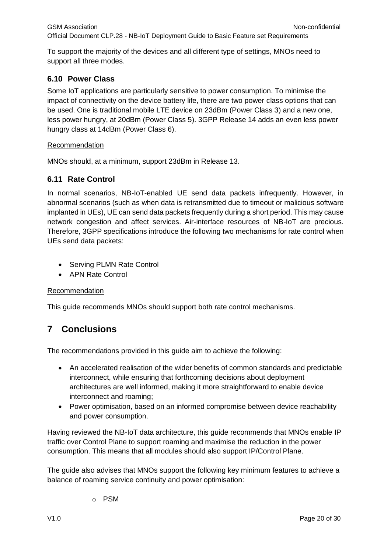To support the majority of the devices and all different type of settings, MNOs need to support all three modes.

# <span id="page-20-0"></span>**6.10 Power Class**

Some IoT applications are particularly sensitive to power consumption. To minimise the impact of connectivity on the device battery life, there are two power class options that can be used. One is traditional mobile LTE device on 23dBm (Power Class 3) and a new one, less power hungry, at 20dBm (Power Class 5). 3GPP Release 14 adds an even less power hungry class at 14dBm (Power Class 6).

#### Recommendation

MNOs should, at a minimum, support 23dBm in Release 13.

# <span id="page-20-1"></span>**6.11 Rate Control**

In normal scenarios, NB-IoT-enabled UE send data packets infrequently. However, in abnormal scenarios (such as when data is retransmitted due to timeout or malicious software implanted in UEs), UE can send data packets frequently during a short period. This may cause network congestion and affect services. Air-interface resources of NB-IoT are precious. Therefore, 3GPP specifications introduce the following two mechanisms for rate control when UEs send data packets:

- Serving PLMN Rate Control
- APN Rate Control

#### Recommendation

This guide recommends MNOs should support both rate control mechanisms.

# <span id="page-20-2"></span>**7 Conclusions**

The recommendations provided in this guide aim to achieve the following:

- An accelerated realisation of the wider benefits of common standards and predictable interconnect, while ensuring that forthcoming decisions about deployment architectures are well informed, making it more straightforward to enable device interconnect and roaming;
- Power optimisation, based on an informed compromise between device reachability and power consumption.

Having reviewed the NB-IoT data architecture, this guide recommends that MNOs enable IP traffic over Control Plane to support roaming and maximise the reduction in the power consumption. This means that all modules should also support IP/Control Plane.

The guide also advises that MNOs support the following key minimum features to achieve a balance of roaming service continuity and power optimisation:

o PSM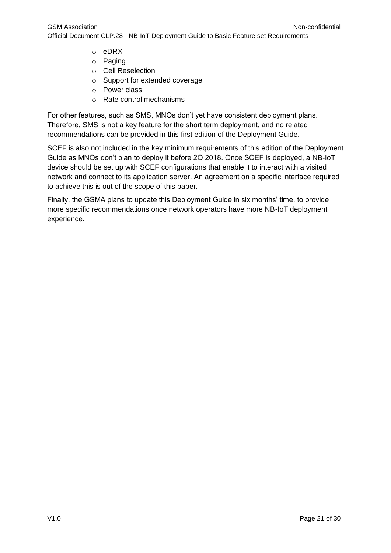- o eDRX
- o Paging
- o Cell Reselection
- o Support for extended coverage
- o Power class
- o Rate control mechanisms

For other features, such as SMS, MNOs don't yet have consistent deployment plans. Therefore, SMS is not a key feature for the short term deployment, and no related recommendations can be provided in this first edition of the Deployment Guide.

SCEF is also not included in the key minimum requirements of this edition of the Deployment Guide as MNOs don't plan to deploy it before 2Q 2018. Once SCEF is deployed, a NB-IoT device should be set up with SCEF configurations that enable it to interact with a visited network and connect to its application server. An agreement on a specific interface required to achieve this is out of the scope of this paper.

Finally, the GSMA plans to update this Deployment Guide in six months' time, to provide more specific recommendations once network operators have more NB-IoT deployment experience.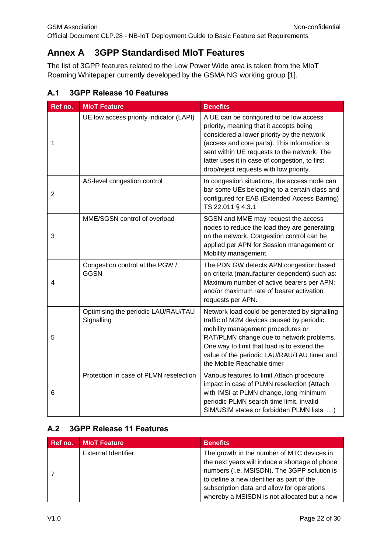# <span id="page-22-0"></span>**Annex A 3GPP Standardised MIoT Features**

The list of 3GPP features related to the Low Power Wide area is taken from the MIoT Roaming Whitepaper currently developed by the GSMA NG working group [\[1\].](#page-6-1)

<span id="page-22-1"></span>

|  |  |  |  | A.1 3GPP Release 10 Features |
|--|--|--|--|------------------------------|
|--|--|--|--|------------------------------|

| Ref no. | <b>MIoT Feature</b>                               | <b>Benefits</b>                                                                                                                                                                                                                                                                                                              |
|---------|---------------------------------------------------|------------------------------------------------------------------------------------------------------------------------------------------------------------------------------------------------------------------------------------------------------------------------------------------------------------------------------|
| 1       | UE low access priority indicator (LAPI)           | A UE can be configured to be low access<br>priority, meaning that it accepts being<br>considered a lower priority by the network<br>(access and core parts). This information is<br>sent within UE requests to the network. The<br>latter uses it in case of congestion, to first<br>drop/reject requests with low priority. |
| 2       | AS-level congestion control                       | In congestion situations, the access node can<br>bar some UEs belonging to a certain class and<br>configured for EAB (Extended Access Barring)<br>TS 22.011 § 4.3.1                                                                                                                                                          |
| 3       | MME/SGSN control of overload                      | SGSN and MME may request the access<br>nodes to reduce the load they are generating<br>on the network. Congestion control can be<br>applied per APN for Session management or<br>Mobility management.                                                                                                                        |
| 4       | Congestion control at the PGW /<br><b>GGSN</b>    | The PDN GW detects APN congestion based<br>on criteria (manufacturer dependent) such as:<br>Maximum number of active bearers per APN;<br>and/or maximum rate of bearer activation<br>requests per APN.                                                                                                                       |
| 5       | Optimising the periodic LAU/RAU/TAU<br>Signalling | Network load could be generated by signalling<br>traffic of M2M devices caused by periodic<br>mobility management procedures or<br>RAT/PLMN change due to network problems.<br>One way to limit that load is to extend the<br>value of the periodic LAU/RAU/TAU timer and<br>the Mobile Reachable timer                      |
| 6       | Protection in case of PLMN reselection            | Various features to limit Attach procedure<br>impact in case of PLMN reselection (Attach<br>with IMSI at PLMN change, long minimum<br>periodic PLMN search time limit, invalid<br>SIM/USIM states or forbidden PLMN lists, )                                                                                                 |

# <span id="page-22-2"></span>**A.2 3GPP Release 11 Features**

| Ref no. | <b>MIoT Feature</b>        | <b>Benefits</b>                                                                                                                                                                                                                                                                       |
|---------|----------------------------|---------------------------------------------------------------------------------------------------------------------------------------------------------------------------------------------------------------------------------------------------------------------------------------|
|         | <b>External Identifier</b> | The growth in the number of MTC devices in<br>the next years will induce a shortage of phone<br>numbers (i.e. MSISDN). The 3GPP solution is<br>to define a new identifier as part of the<br>subscription data and allow for operations<br>whereby a MSISDN is not allocated but a new |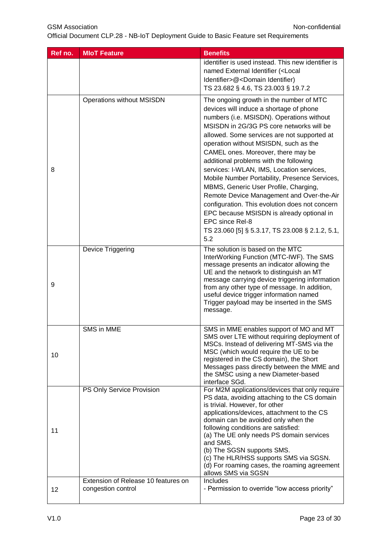| Ref no. | <b>MIoT Feature</b>                                       | <b>Benefits</b>                                                                                                                                                                                                                                                                                                                                                                                                                                                                                                                                                                                                                                                                                                     |
|---------|-----------------------------------------------------------|---------------------------------------------------------------------------------------------------------------------------------------------------------------------------------------------------------------------------------------------------------------------------------------------------------------------------------------------------------------------------------------------------------------------------------------------------------------------------------------------------------------------------------------------------------------------------------------------------------------------------------------------------------------------------------------------------------------------|
|         |                                                           | identifier is used instead. This new identifier is<br>named External Identifier ( <local<br>Identifier&gt;@<domain identifier)<br="">TS 23.682 § 4.6, TS 23.003 § 19.7.2</domain></local<br>                                                                                                                                                                                                                                                                                                                                                                                                                                                                                                                        |
| 8       | <b>Operations without MSISDN</b>                          | The ongoing growth in the number of MTC<br>devices will induce a shortage of phone<br>numbers (i.e. MSISDN). Operations without<br>MSISDN in 2G/3G PS core networks will be<br>allowed. Some services are not supported at<br>operation without MSISDN, such as the<br>CAMEL ones. Moreover, there may be<br>additional problems with the following<br>services: I-WLAN, IMS, Location services,<br>Mobile Number Portability, Presence Services,<br>MBMS, Generic User Profile, Charging,<br>Remote Device Management and Over-the-Air<br>configuration. This evolution does not concern<br>EPC because MSISDN is already optional in<br>EPC since Rel-8<br>TS 23.060 [5] § 5.3.17, TS 23.008 § 2.1.2, 5.1,<br>5.2 |
| 9       | Device Triggering                                         | The solution is based on the MTC<br>InterWorking Function (MTC-IWF). The SMS<br>message presents an indicator allowing the<br>UE and the network to distinguish an MT<br>message carrying device triggering information<br>from any other type of message. In addition,<br>useful device trigger information named<br>Trigger payload may be inserted in the SMS<br>message.                                                                                                                                                                                                                                                                                                                                        |
| 10      | SMS in MME                                                | SMS in MME enables support of MO and MT<br>SMS over LTE without requiring deployment of<br>MSCs. Instead of delivering MT-SMS via the<br>MSC (which would require the UE to be<br>registered in the CS domain), the Short<br>Messages pass directly between the MME and<br>the SMSC using a new Diameter-based<br>interface SGd.                                                                                                                                                                                                                                                                                                                                                                                    |
| 11      | PS Only Service Provision                                 | For M2M applications/devices that only require<br>PS data, avoiding attaching to the CS domain<br>is trivial. However, for other<br>applications/devices, attachment to the CS<br>domain can be avoided only when the<br>following conditions are satisfied:<br>(a) The UE only needs PS domain services<br>and SMS.<br>(b) The SGSN supports SMS.<br>(c) The HLR/HSS supports SMS via SGSN.<br>(d) For roaming cases, the roaming agreement<br>allows SMS via SGSN                                                                                                                                                                                                                                                 |
| 12      | Extension of Release 10 features on<br>congestion control | Includes<br>- Permission to override "low access priority"                                                                                                                                                                                                                                                                                                                                                                                                                                                                                                                                                                                                                                                          |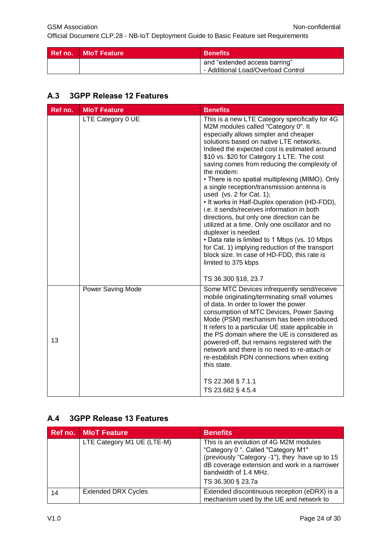| <b>Ref no. MIoT Feature</b> | <b>Benefits</b>                                                     |
|-----------------------------|---------------------------------------------------------------------|
|                             | and "extended access barring"<br>- Additional Load/Overload Control |

# <span id="page-24-0"></span>**A.3 3GPP Release 12 Features**

| Ref no. | <b>MIoT Feature</b> | <b>Benefits</b>                                                                                                                                                                                                                                                                                                                                                                                                                                                                                                                                                                                                                                                                                                                                                                                                                                                     |
|---------|---------------------|---------------------------------------------------------------------------------------------------------------------------------------------------------------------------------------------------------------------------------------------------------------------------------------------------------------------------------------------------------------------------------------------------------------------------------------------------------------------------------------------------------------------------------------------------------------------------------------------------------------------------------------------------------------------------------------------------------------------------------------------------------------------------------------------------------------------------------------------------------------------|
|         | LTE Category 0 UE   | This is a new LTE Category specifically for 4G<br>M2M modules called "Category 0". It<br>especially allows simpler and cheaper<br>solutions based on native LTE networks.<br>Indeed the expected cost is estimated around<br>\$10 vs. \$20 for Category 1 LTE. The cost<br>saving comes from reducing the complexity of<br>the modem:<br>• There is no spatial multiplexing (MIMO). Only<br>a single reception/transmission antenna is<br>used (vs. $2$ for Cat. 1);<br>• It works in Half-Duplex operation (HD-FDD),<br>i.e. it sends/receives information in both<br>directions, but only one direction can be<br>utilized at a time. Only one oscillator and no<br>duplexer is needed.<br>• Data rate is limited to 1 Mbps (vs. 10 Mbps<br>for Cat. 1) implying reduction of the transport<br>block size. In case of HD-FDD, this rate is<br>limited to 375 kbps |
|         |                     | TS 36.300 §18, 23.7                                                                                                                                                                                                                                                                                                                                                                                                                                                                                                                                                                                                                                                                                                                                                                                                                                                 |
| 13      | Power Saving Mode   | Some MTC Devices infrequently send/receive<br>mobile originating/terminating small volumes<br>of data. In order to lower the power<br>consumption of MTC Devices, Power Saving<br>Mode (PSM) mechanism has been introduced.<br>It refers to a particular UE state applicable in<br>the PS domain where the UE is considered as<br>powered-off, but remains registered with the<br>network and there is no need to re-attach or<br>re-establish PDN connections when exiting<br>this state.                                                                                                                                                                                                                                                                                                                                                                          |
|         |                     | TS 22.368 § 7.1.1<br>TS 23.682 § 4.5.4                                                                                                                                                                                                                                                                                                                                                                                                                                                                                                                                                                                                                                                                                                                                                                                                                              |

# <span id="page-24-1"></span>**A.4 3GPP Release 13 Features**

|    | <b>Ref no. MIoT Feature</b> | <b>Benefits</b>                                                                                                                                                                                                               |
|----|-----------------------------|-------------------------------------------------------------------------------------------------------------------------------------------------------------------------------------------------------------------------------|
|    | LTE Category M1 UE (LTE-M)  | This is an evolution of 4G M2M modules<br>"Category 0 ". Called "Category M1"<br>(previously "Category -1"), they have up to 15<br>dB coverage extension and work in a narrower<br>bandwidth of 1.4 MHz.<br>TS 36.300 § 23.7a |
| 14 | <b>Extended DRX Cycles</b>  | Extended discontinuous reception (eDRX) is a<br>mechanism used by the UE and network to                                                                                                                                       |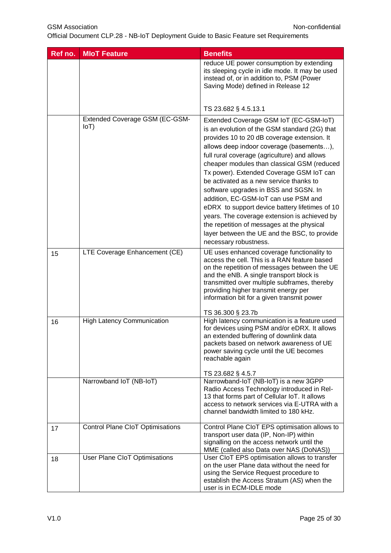GSM Association **Non-confidential** 

| Ref no. | <b>MIoT Feature</b>                              | <b>Benefits</b>                                                                                                                                                                                                                                                                                                                                                                                                                                                                                                                                                                                                                                                                    |
|---------|--------------------------------------------------|------------------------------------------------------------------------------------------------------------------------------------------------------------------------------------------------------------------------------------------------------------------------------------------------------------------------------------------------------------------------------------------------------------------------------------------------------------------------------------------------------------------------------------------------------------------------------------------------------------------------------------------------------------------------------------|
|         |                                                  | reduce UE power consumption by extending<br>its sleeping cycle in idle mode. It may be used<br>instead of, or in addition to, PSM (Power<br>Saving Mode) defined in Release 12                                                                                                                                                                                                                                                                                                                                                                                                                                                                                                     |
|         |                                                  | TS 23.682 § 4.5.13.1                                                                                                                                                                                                                                                                                                                                                                                                                                                                                                                                                                                                                                                               |
|         | Extended Coverage GSM (EC-GSM-<br>I <sub>0</sub> | Extended Coverage GSM IoT (EC-GSM-IoT)<br>is an evolution of the GSM standard (2G) that<br>provides 10 to 20 dB coverage extension. It<br>allows deep indoor coverage (basements),<br>full rural coverage (agriculture) and allows<br>cheaper modules than classical GSM (reduced<br>Tx power). Extended Coverage GSM IoT can<br>be activated as a new service thanks to<br>software upgrades in BSS and SGSN. In<br>addition, EC-GSM-IoT can use PSM and<br>eDRX to support device battery lifetimes of 10<br>years. The coverage extension is achieved by<br>the repetition of messages at the physical<br>layer between the UE and the BSC, to provide<br>necessary robustness. |
| 15      | LTE Coverage Enhancement (CE)                    | UE uses enhanced coverage functionality to<br>access the cell. This is a RAN feature based<br>on the repetition of messages between the UE<br>and the eNB. A single transport block is<br>transmitted over multiple subframes, thereby<br>providing higher transmit energy per<br>information bit for a given transmit power<br>TS 36.300 § 23.7b                                                                                                                                                                                                                                                                                                                                  |
| 16      | <b>High Latency Communication</b>                | High latency communication is a feature used<br>for devices using PSM and/or eDRX. It allows<br>an extended buffering of downlink data<br>packets based on network awareness of UE<br>power saving cycle until the UE becomes<br>reachable again<br>TS 23.682 § 4.5.7                                                                                                                                                                                                                                                                                                                                                                                                              |
|         | Narrowband IoT (NB-IoT)                          | Narrowband-IoT (NB-IoT) is a new 3GPP<br>Radio Access Technology introduced in Rel-<br>13 that forms part of Cellular IoT. It allows<br>access to network services via E-UTRA with a<br>channel bandwidth limited to 180 kHz.                                                                                                                                                                                                                                                                                                                                                                                                                                                      |
| 17      | Control Plane CloT Optimisations                 | Control Plane CloT EPS optimisation allows to<br>transport user data (IP, Non-IP) within<br>signalling on the access network until the<br>MME (called also Data over NAS (DoNAS))                                                                                                                                                                                                                                                                                                                                                                                                                                                                                                  |
| 18      | User Plane CloT Optimisations                    | User CIoT EPS optimisation allows to transfer<br>on the user Plane data without the need for<br>using the Service Request procedure to<br>establish the Access Stratum (AS) when the<br>user is in ECM-IDLE mode                                                                                                                                                                                                                                                                                                                                                                                                                                                                   |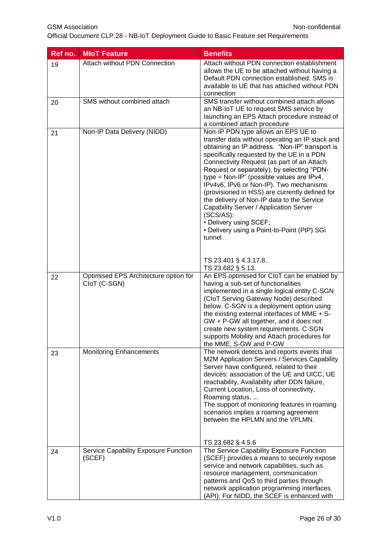| Ref no. | <b>MIoT Feature</b>                                   | <b>Benefits</b>                                                                                                                                                                                                                                                                                                                                                                                                                                                                                                                                                                                                                                |
|---------|-------------------------------------------------------|------------------------------------------------------------------------------------------------------------------------------------------------------------------------------------------------------------------------------------------------------------------------------------------------------------------------------------------------------------------------------------------------------------------------------------------------------------------------------------------------------------------------------------------------------------------------------------------------------------------------------------------------|
| 19      | Attach without PDN Connection                         | Attach without PDN connection establishment<br>allows the UE to be attached without having a<br>Default PDN connection established. SMS is<br>available to UE that has attached without PDN<br>connection                                                                                                                                                                                                                                                                                                                                                                                                                                      |
| 20      | SMS without combined attach                           | SMS transfer without combined attach allows<br>an NB-IoT UE to request SMS service by<br>launching an EPS Attach procedure instead of<br>a combined attach procedure                                                                                                                                                                                                                                                                                                                                                                                                                                                                           |
| 21      | Non-IP Data Delivery (NIDD)                           | Non-IP PDN type allows an EPS UE to<br>transfer data without operating an IP stack and<br>obtaining an IP address. "Non-IP" transport is<br>specifically requested by the UE in a PDN<br>Connectivity Request (as part of an Attach<br>Request or separately), by selecting "PDN-<br>type = $Non-IP"$ (possible values are IPv4,<br>IPv4v6, IPv6 or Non-IP). Two mechanisms<br>(provisioned in HSS) are currently defined for<br>the delivery of Non-IP data to the Service<br>Capability Server / Application Server<br>(SCS/AS):<br>• Delivery using SCEF;<br>• Delivery using a Point-to-Point (PtP) SGi<br>tunnel<br>TS 23.401 § 4.3.17.8. |
|         |                                                       | TS 23.682 § 5.13.                                                                                                                                                                                                                                                                                                                                                                                                                                                                                                                                                                                                                              |
| 22      | Optimised EPS Architecture option for<br>CloT (C-SGN) | An EPS optimised for CloT can be enabled by<br>having a sub-set of functionalities<br>implemented in a single logical entity C-SGN<br>(CloT Serving Gateway Node) described<br>below. C-SGN is a deployment option using<br>the existing external interfaces of MME + S-<br>GW + P-GW all together, and it does not<br>create new system requirements. C-SGN<br>supports Mobility and Attach procedures for<br>the MME, S-GW and P-GW                                                                                                                                                                                                          |
| 23      | <b>Monitoring Enhancements</b>                        | The network detects and reports events that<br>M2M Application Servers / Services Capability<br>Server have configured, related to their<br>devices: association of the UE and UICC, UE<br>reachability, Availability after DDN failure,<br>Current Location, Loss of connectivity,<br>Roaming status,<br>The support of monitoring features in roaming<br>scenarios implies a roaming agreement<br>between the HPLMN and the VPLMN.<br>TS 23.682 § 4.5.6                                                                                                                                                                                      |
| 24      | Service Capability Exposure Function<br>(SCEF)        | The Service Capability Exposure Function<br>(SCEF) provides a means to securely expose<br>service and network capabilities, such as<br>resource management, communication<br>patterns and QoS to third parties through<br>network application programming interfaces<br>(API). For NIDD, the SCEF is enhanced with                                                                                                                                                                                                                                                                                                                             |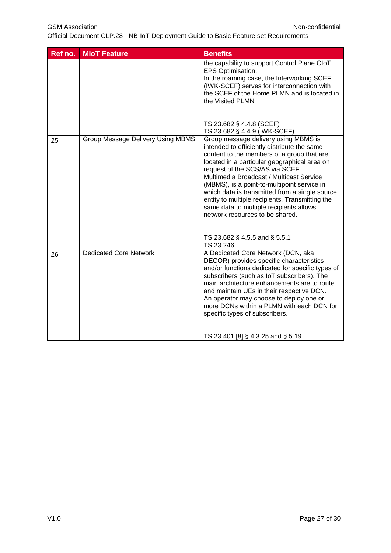GSM Association **Non-confidential** 

| Ref no. | <b>MIoT Feature</b>                      | <b>Benefits</b>                                                                                                                                                                                                                                                                                                                                                                                                                                                                                    |
|---------|------------------------------------------|----------------------------------------------------------------------------------------------------------------------------------------------------------------------------------------------------------------------------------------------------------------------------------------------------------------------------------------------------------------------------------------------------------------------------------------------------------------------------------------------------|
|         |                                          | the capability to support Control Plane CloT<br>EPS Optimisation.<br>In the roaming case, the Interworking SCEF<br>(IWK-SCEF) serves for interconnection with<br>the SCEF of the Home PLMN and is located in<br>the Visited PLMN                                                                                                                                                                                                                                                                   |
|         |                                          | TS 23.682 § 4.4.8 (SCEF)<br>TS 23.682 § 4.4.9 (IWK-SCEF)                                                                                                                                                                                                                                                                                                                                                                                                                                           |
| 25      | <b>Group Message Delivery Using MBMS</b> | Group message delivery using MBMS is<br>intended to efficiently distribute the same<br>content to the members of a group that are<br>located in a particular geographical area on<br>request of the SCS/AS via SCEF.<br>Multimedia Broadcast / Multicast Service<br>(MBMS), is a point-to-multipoint service in<br>which data is transmitted from a single source<br>entity to multiple recipients. Transmitting the<br>same data to multiple recipients allows<br>network resources to be shared. |
|         |                                          | TS 23.682 § 4.5.5 and § 5.5.1<br>TS 23.246                                                                                                                                                                                                                                                                                                                                                                                                                                                         |
| 26      | <b>Dedicated Core Network</b>            | A Dedicated Core Network (DCN, aka<br>DECOR) provides specific characteristics<br>and/or functions dedicated for specific types of<br>subscribers (such as IoT subscribers). The<br>main architecture enhancements are to route<br>and maintain UEs in their respective DCN.<br>An operator may choose to deploy one or<br>more DCNs within a PLMN with each DCN for<br>specific types of subscribers.                                                                                             |
|         |                                          | TS 23.401 [8] § 4.3.25 and § 5.19                                                                                                                                                                                                                                                                                                                                                                                                                                                                  |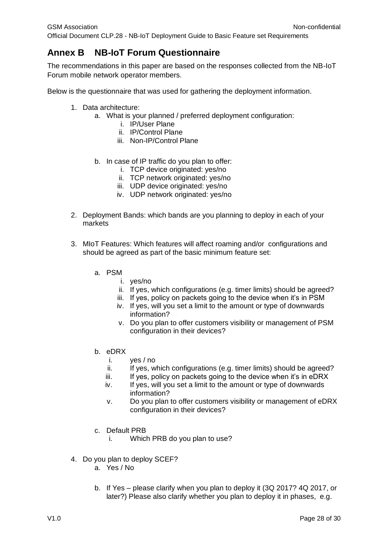# <span id="page-28-0"></span>**Annex B NB-IoT Forum Questionnaire**

The recommendations in this paper are based on the responses collected from the NB-IoT Forum mobile network operator members.

Below is the questionnaire that was used for gathering the deployment information.

- 1. Data architecture:
	- a. What is your planned / preferred deployment configuration:
		- i. IP/User Plane
			- ii. IP/Control Plane
		- iii. Non-IP/Control Plane
	- b. In case of IP traffic do you plan to offer:
		- i. TCP device originated: yes/no
		- ii. TCP network originated: yes/no
		- iii. UDP device originated: yes/no
		- iv. UDP network originated: yes/no
- 2. Deployment Bands: which bands are you planning to deploy in each of your markets
- 3. MIoT Features: Which features will affect roaming and/or configurations and should be agreed as part of the basic minimum feature set:
	- a. PSM
		- i. yes/no
		- ii. If yes, which configurations (e.g. timer limits) should be agreed?
		- iii. If yes, policy on packets going to the device when it's in PSM
		- iv. If yes, will you set a limit to the amount or type of downwards information?
		- v. Do you plan to offer customers visibility or management of PSM configuration in their devices?
	- b. eDRX
		- i. yes / no
		- ii. If yes, which configurations (e.g. timer limits) should be agreed?
		- iii. If yes, policy on packets going to the device when it's in eDRX
		- iv. If yes, will you set a limit to the amount or type of downwards information?
		- v. Do you plan to offer customers visibility or management of eDRX configuration in their devices?
	- c. Default PRB
		- i. Which PRB do you plan to use?
- 4. Do you plan to deploy SCEF?
	- a. Yes / No
	- b. If Yes please clarify when you plan to deploy it (3Q 2017? 4Q 2017, or later?) Please also clarify whether you plan to deploy it in phases, e.g.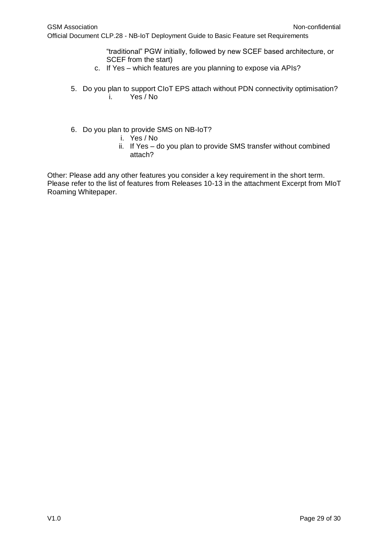"traditional" PGW initially, followed by new SCEF based architecture, or SCEF from the start)

- c. If Yes which features are you planning to expose via APIs?
- 5. Do you plan to support CIoT EPS attach without PDN connectivity optimisation? i. Yes / No
- 6. Do you plan to provide SMS on NB-IoT?
	- i. Yes / No
	- ii. If Yes do you plan to provide SMS transfer without combined attach?

Other: Please add any other features you consider a key requirement in the short term. Please refer to the list of features from Releases 10-13 in the attachment Excerpt from MIoT Roaming Whitepaper.